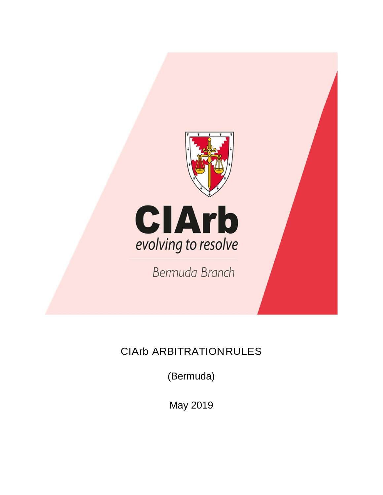

# CIArb ARBITRATION RULES

(Bermuda)

May 2019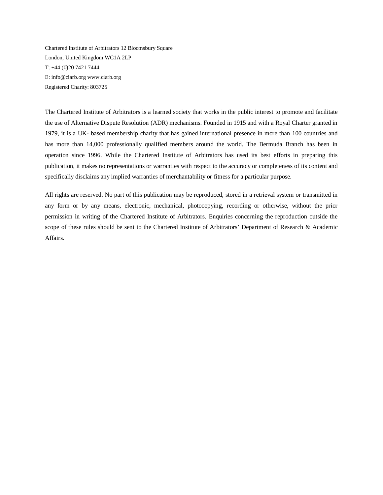Chartered Institute of Arbitrators 12 Bloomsbury Square London, United Kingdom WC1A 2LP T: +44 (0)20 7421 7444 E: info@ciarb.org www.ciarb.org Registered Charity: 803725

The Chartered Institute of Arbitrators is a learned society that works in the public interest to promote and facilitate the use of Alternative Dispute Resolution (ADR) mechanisms. Founded in 1915 and with a Royal Charter granted in 1979, it is a UK- based membership charity that has gained international presence in more than 100 countries and has more than 14,000 professionally qualified members around the world. The Bermuda Branch has been in operation since 1996. While the Chartered Institute of Arbitrators has used its best efforts in preparing this publication, it makes no representations or warranties with respect to the accuracy or completeness of its content and specifically disclaims any implied warranties of merchantability or fitness for a particular purpose.

All rights are reserved. No part of this publication may be reproduced, stored in a retrieval system or transmitted in any form or by any means, electronic, mechanical, photocopying, recording or otherwise, without the prior permission in writing of the Chartered Institute of Arbitrators. Enquiries concerning the reproduction outside the scope of these rules should be sent to the Chartered Institute of Arbitrators' Department of Research & Academic Affairs.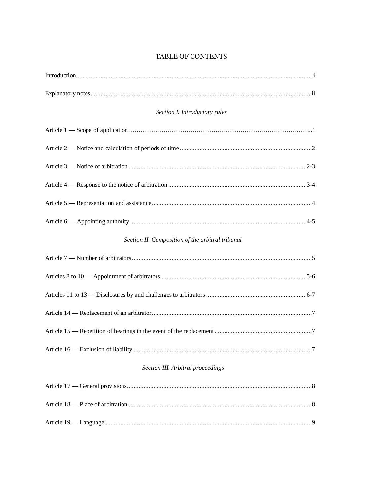# TABLE OF CONTENTS

| Section I. Introductory rules                    |  |  |  |
|--------------------------------------------------|--|--|--|
|                                                  |  |  |  |
|                                                  |  |  |  |
|                                                  |  |  |  |
|                                                  |  |  |  |
|                                                  |  |  |  |
|                                                  |  |  |  |
| Section II. Composition of the arbitral tribunal |  |  |  |
|                                                  |  |  |  |
|                                                  |  |  |  |
|                                                  |  |  |  |
|                                                  |  |  |  |
|                                                  |  |  |  |
|                                                  |  |  |  |
| Section III. Arbitral proceedings                |  |  |  |
|                                                  |  |  |  |
|                                                  |  |  |  |
|                                                  |  |  |  |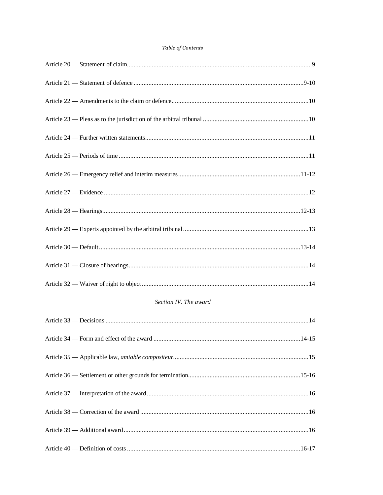# $Table\ of\ Contents$

# Section IV. The award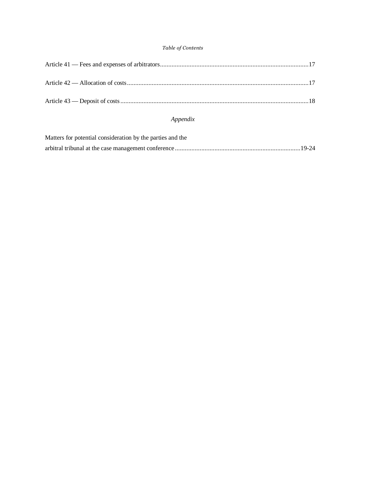# *Table of Contents*

# *Appendix*

| Matters for potential consideration by the parties and the |  |
|------------------------------------------------------------|--|
|                                                            |  |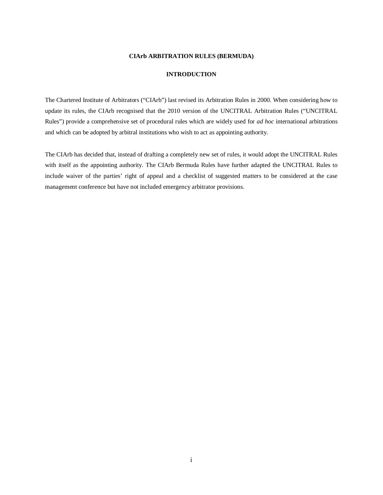# **CIArb ARBITRATION RULES (BERMUDA)**

# **INTRODUCTION**

The Chartered Institute of Arbitrators ("CIArb") last revised its Arbitration Rules in 2000. When considering how to update its rules, the CIArb recognised that the 2010 version of the UNCITRAL Arbitration Rules ("UNCITRAL Rules") provide a comprehensive set of procedural rules which are widely used for *ad hoc* international arbitrations and which can be adopted by arbitral institutions who wish to act as appointing authority.

The CIArb has decided that, instead of drafting a completely new set of rules, it would adopt the UNCITRAL Rules with itself as the appointing authority. The CIArb Bermuda Rules have further adapted the UNCITRAL Rules to include waiver of the parties' right of appeal and a checklist of suggested matters to be considered at the case management conference but have not included emergency arbitrator provisions.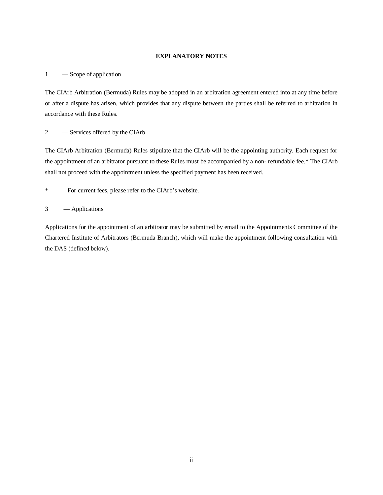# **EXPLANATORY NOTES**

1 — Scope of application

The CIArb Arbitration (Bermuda) Rules may be adopted in an arbitration agreement entered into at any time before or after a dispute has arisen, which provides that any dispute between the parties shall be referred to arbitration in accordance with these Rules.

2 — Services offered by the CIArb

The CIArb Arbitration (Bermuda) Rules stipulate that the CIArb will be the appointing authority. Each request for the appointment of an arbitrator pursuant to these Rules must be accompanied by a non- refundable fee.\* The CIArb shall not proceed with the appointment unless the specified payment has been received.

\* For current fees, please refer to the CIArb's website.

3 — Applications

Applications for the appointment of an arbitrator may be submitted by email to the Appointments Committee of the Chartered Institute of Arbitrators (Bermuda Branch), which will make the appointment following consultation with the DAS (defined below).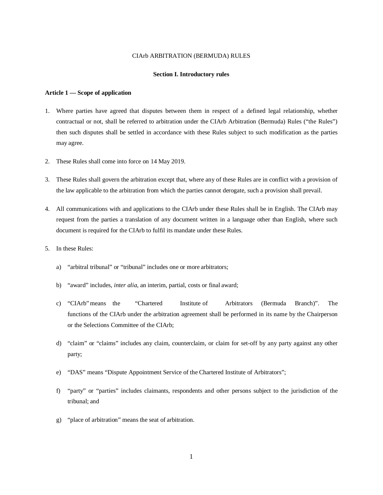#### CIArb ARBITRATION (BERMUDA) RULES

#### **Section I. Introductory rules**

#### **Article 1 — Scope of application**

- 1. Where parties have agreed that disputes between them in respect of a defined legal relationship, whether contractual or not, shall be referred to arbitration under the CIArb Arbitration (Bermuda) Rules ("the Rules") then such disputes shall be settled in accordance with these Rules subject to such modification as the parties may agree.
- 2. These Rules shall come into force on 14 May 2019.
- 3. These Rules shall govern the arbitration except that, where any of these Rules are in conflict with a provision of the law applicable to the arbitration from which the parties cannot derogate, such a provision shall prevail.
- 4. All communications with and applications to the CIArb under these Rules shall be in English. The CIArb may request from the parties a translation of any document written in a language other than English, where such document is required for the CIArb to fulfil its mandate under these Rules.
- 5. In these Rules:
	- a) "arbitral tribunal" or "tribunal" includes one or more arbitrators;
	- b) "award" includes, *inter alia*, an interim, partial, costs or final award;
	- c) "CIArb" means the "Chartered Institute of Arbitrators (Bermuda Branch)". The functions of the CIArb under the arbitration agreement shall be performed in its name by the Chairperson or the Selections Committee of the CIArb;
	- d) "claim" or "claims" includes any claim, counterclaim, or claim for set-off by any party against any other party;
	- e) "DAS" means "Dispute Appointment Service of the Chartered Institute of Arbitrators";
	- f) "party" or "parties" includes claimants, respondents and other persons subject to the jurisdiction of the tribunal; and
	- g) "place of arbitration" means the seat of arbitration.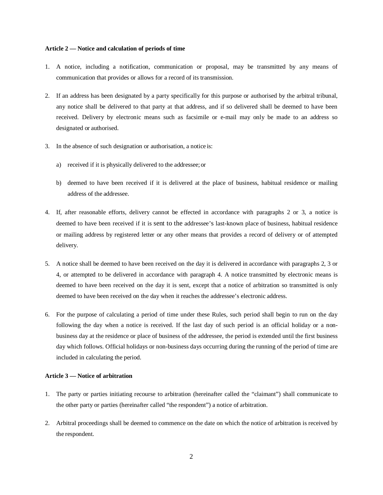#### **Article 2 — Notice and calculation of periods of time**

- 1. A notice, including a notification, communication or proposal, may be transmitted by any means of communication that provides or allows for a record of its transmission.
- 2. If an address has been designated by a party specifically for this purpose or authorised by the arbitral tribunal, any notice shall be delivered to that party at that address, and if so delivered shall be deemed to have been received. Delivery by electronic means such as facsimile or e-mail may only be made to an address so designated or authorised.
- 3. In the absence of such designation or authorisation, a notice is:
	- a) received if it is physically delivered to the addressee; or
	- b) deemed to have been received if it is delivered at the place of business, habitual residence or mailing address of the addressee.
- 4. If, after reasonable efforts, delivery cannot be effected in accordance with paragraphs 2 or 3, a notice is deemed to have been received if it is sent to the addressee's last-known place of business, habitual residence or mailing address by registered letter or any other means that provides a record of delivery or of attempted delivery.
- 5. A notice shall be deemed to have been received on the day it is delivered in accordance with paragraphs 2, 3 or 4, or attempted to be delivered in accordance with paragraph 4. A notice transmitted by electronic means is deemed to have been received on the day it is sent, except that a notice of arbitration so transmitted is only deemed to have been received on the day when it reaches the addressee's electronic address.
- 6. For the purpose of calculating a period of time under these Rules, such period shall begin to run on the day following the day when a notice is received. If the last day of such period is an official holiday or a nonbusiness day at the residence or place of business of the addressee, the period is extended until the first business day which follows. Official holidays or non-business days occurring during the running of the period of time are included in calculating the period.

#### **Article 3 — Notice of arbitration**

- 1. The party or parties initiating recourse to arbitration (hereinafter called the "claimant") shall communicate to the other party or parties (hereinafter called "the respondent") a notice of arbitration.
- 2. Arbitral proceedings shall be deemed to commence on the date on which the notice of arbitration is received by the respondent.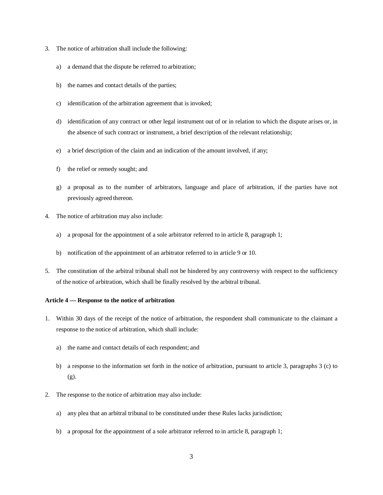- 3. The notice of arbitration shall include the following:
	- a) a demand that the dispute be referred to arbitration;
	- b) the names and contact details of the parties;
	- c) identification of the arbitration agreement that is invoked;
	- d) identification of any contract or other legal instrument out of or in relation to which the dispute arises or, in the absence of such contract or instrument, a brief description of the relevant relationship;
	- e) a brief description of the claim and an indication of the amount involved, if any;
	- f) the relief or remedy sought; and
	- g) a proposal as to the number of arbitrators, language and place of arbitration, if the parties have not previously agreed thereon.
- 4. The notice of arbitration may also include:
	- a) a proposal for the appointment of a sole arbitrator referred to in article 8, paragraph 1;
	- b) notification of the appointment of an arbitrator referred to in article 9 or 10.
- 5. The constitution of the arbitral tribunal shall not be hindered by any controversy with respect to the sufficiency of the notice of arbitration, which shall be finally resolved by the arbitral tribunal.

#### **Article 4 — Response to the notice of arbitration**

- 1. Within 30 days of the receipt of the notice of arbitration, the respondent shall communicate to the claimant a response to the notice of arbitration, which shall include:
	- a) the name and contact details of each respondent; and
	- b) a response to the information set forth in the notice of arbitration, pursuant to article 3, paragraphs 3 (c) to (g).
- 2. The response to the notice of arbitration may also include:
	- a) any plea that an arbitral tribunal to be constituted under these Rules lacks jurisdiction;
	- b) a proposal for the appointment of a sole arbitrator referred to in article 8, paragraph 1;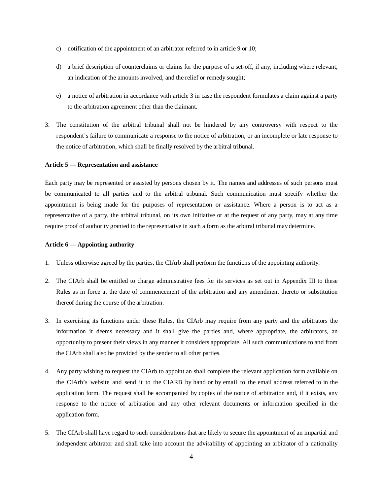- c) notification of the appointment of an arbitrator referred to in article 9 or 10;
- d) a brief description of counterclaims or claims for the purpose of a set-off, if any, including where relevant, an indication of the amounts involved, and the relief or remedy sought;
- e) a notice of arbitration in accordance with article 3 in case the respondent formulates a claim against a party to the arbitration agreement other than the claimant.
- 3. The constitution of the arbitral tribunal shall not be hindered by any controversy with respect to the respondent's failure to communicate a response to the notice of arbitration, or an incomplete or late response to the notice of arbitration, which shall be finally resolved by the arbitral tribunal.

#### **Article 5 — Representation and assistance**

Each party may be represented or assisted by persons chosen by it. The names and addresses of such persons must be communicated to all parties and to the arbitral tribunal. Such communication must specify whether the appointment is being made for the purposes of representation or assistance. Where a person is to act as a representative of a party, the arbitral tribunal, on its own initiative or at the request of any party, may at any time require proof of authority granted to the representative in such a form as the arbitral tribunal may determine.

# **Article 6 — Appointing authority**

- 1. Unless otherwise agreed by the parties, the CIArb shall perform the functions of the appointing authority.
- 2. The CIArb shall be entitled to charge administrative fees for its services as set out in Appendix III to these Rules as in force at the date of commencement of the arbitration and any amendment thereto or substitution thereof during the course of the arbitration.
- 3. In exercising its functions under these Rules, the CIArb may require from any party and the arbitrators the information it deems necessary and it shall give the parties and, where appropriate, the arbitrators, an opportunity to present their views in any manner it considers appropriate. All such communications to and from the CIArb shall also be provided by the sender to all other parties.
- 4. Any party wishing to request the CIArb to appoint an shall complete the relevant application form available on the CIArb's website and send it to the CIARB by hand or by email to the email address referred to in the application form. The request shall be accompanied by copies of the notice of arbitration and, if it exists, any response to the notice of arbitration and any other relevant documents or information specified in the application form.
- 5. The CIArb shall have regard to such considerations that are likely to secure the appointment of an impartial and independent arbitrator and shall take into account the advisability of appointing an arbitrator of a nationality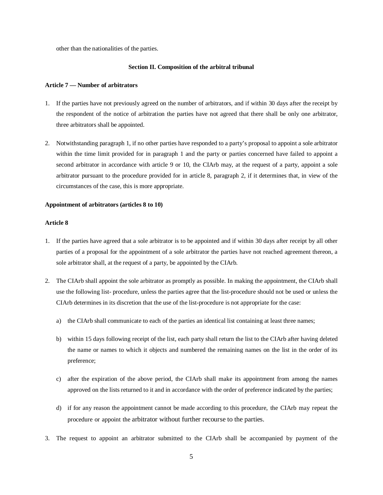other than the nationalities of the parties.

#### **Section II. Composition of the arbitral tribunal**

#### **Article 7 — Number of arbitrators**

- 1. If the parties have not previously agreed on the number of arbitrators, and if within 30 days after the receipt by the respondent of the notice of arbitration the parties have not agreed that there shall be only one arbitrator, three arbitrators shall be appointed.
- 2. Notwithstanding paragraph 1, if no other parties have responded to a party's proposal to appoint a sole arbitrator within the time limit provided for in paragraph 1 and the party or parties concerned have failed to appoint a second arbitrator in accordance with article 9 or 10, the CIArb may, at the request of a party, appoint a sole arbitrator pursuant to the procedure provided for in article 8, paragraph 2, if it determines that, in view of the circumstances of the case, this is more appropriate.

#### **Appointment of arbitrators (articles 8 to 10)**

# **Article 8**

- 1. If the parties have agreed that a sole arbitrator is to be appointed and if within 30 days after receipt by all other parties of a proposal for the appointment of a sole arbitrator the parties have not reached agreement thereon, a sole arbitrator shall, at the request of a party, be appointed by the CIArb.
- 2. The CIArb shall appoint the sole arbitrator as promptly as possible. In making the appointment, the CIArb shall use the following list- procedure, unless the parties agree that the list-procedure should not be used or unless the CIArb determines in its discretion that the use of the list-procedure is not appropriate for the case:
	- a) the CIArb shall communicate to each of the parties an identical list containing at least three names;
	- b) within 15 days following receipt of the list, each party shall return the list to the CIArb after having deleted the name or names to which it objects and numbered the remaining names on the list in the order of its preference;
	- c) after the expiration of the above period, the CIArb shall make its appointment from among the names approved on the lists returned to it and in accordance with the order of preference indicated by the parties;
	- d) if for any reason the appointment cannot be made according to this procedure, the CIArb may repeat the procedure or appoint the arbitrator without further recourse to the parties.
- 3. The request to appoint an arbitrator submitted to the CIArb shall be accompanied by payment of the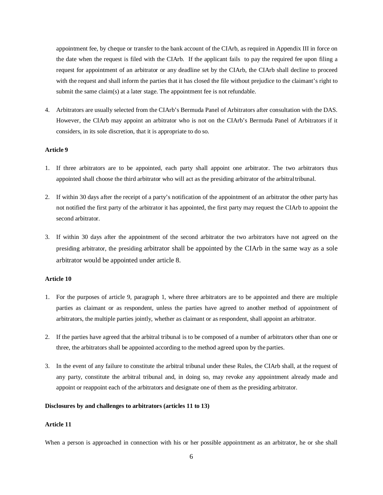appointment fee, by cheque or transfer to the bank account of the CIArb, as required in Appendix III in force on the date when the request is filed with the CIArb. If the applicant fails to pay the required fee upon filing a request for appointment of an arbitrator or any deadline set by the CIArb, the CIArb shall decline to proceed with the request and shall inform the parties that it has closed the file without prejudice to the claimant's right to submit the same claim(s) at a later stage. The appointment fee is not refundable.

4. Arbitrators are usually selected from the CIArb's Bermuda Panel of Arbitrators after consultation with the DAS. However, the CIArb may appoint an arbitrator who is not on the CIArb's Bermuda Panel of Arbitrators if it considers, in its sole discretion, that it is appropriate to do so.

#### **Article 9**

- 1. If three arbitrators are to be appointed, each party shall appoint one arbitrator. The two arbitrators thus appointed shall choose the third arbitrator who will act as the presiding arbitrator of the arbitral tribunal.
- 2. If within 30 days after the receipt of a party's notification of the appointment of an arbitrator the other party has not notified the first party of the arbitrator it has appointed, the first party may request the CIArb to appoint the second arbitrator.
- 3. If within 30 days after the appointment of the second arbitrator the two arbitrators have not agreed on the presiding arbitrator, the presiding arbitrator shall be appointed by the CIArb in the same way as a sole arbitrator would be appointed under article 8.

# **Article 10**

- 1. For the purposes of article 9, paragraph 1, where three arbitrators are to be appointed and there are multiple parties as claimant or as respondent, unless the parties have agreed to another method of appointment of arbitrators, the multiple parties jointly, whether as claimant or as respondent, shall appoint an arbitrator.
- 2. If the parties have agreed that the arbitral tribunal is to be composed of a number of arbitrators other than one or three, the arbitrators shall be appointed according to the method agreed upon by the parties.
- 3. In the event of any failure to constitute the arbitral tribunal under these Rules, the CIArb shall, at the request of any party, constitute the arbitral tribunal and, in doing so, may revoke any appointment already made and appoint or reappoint each of the arbitrators and designate one of them as the presiding arbitrator.

#### **Disclosures by and challenges to arbitrators (articles 11 to 13)**

# **Article 11**

When a person is approached in connection with his or her possible appointment as an arbitrator, he or she shall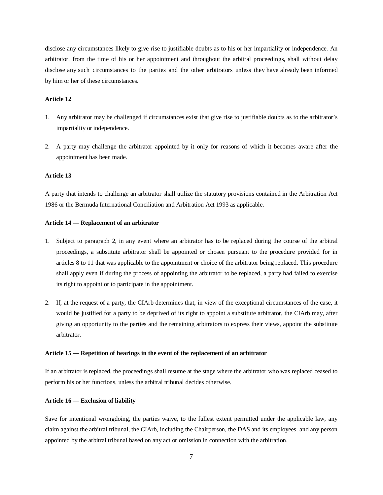disclose any circumstances likely to give rise to justifiable doubts as to his or her impartiality or independence. An arbitrator, from the time of his or her appointment and throughout the arbitral proceedings, shall without delay disclose any such circumstances to the parties and the other arbitrators unless they have already been informed by him or her of these circumstances.

# **Article 12**

- 1. Any arbitrator may be challenged if circumstances exist that give rise to justifiable doubts as to the arbitrator's impartiality or independence.
- 2. A party may challenge the arbitrator appointed by it only for reasons of which it becomes aware after the appointment has been made.

# **Article 13**

A party that intends to challenge an arbitrator shall utilize the statutory provisions contained in the Arbitration Act 1986 or the Bermuda International Conciliation and Arbitration Act 1993 as applicable.

#### **Article 14 — Replacement of an arbitrator**

- 1. Subject to paragraph 2, in any event where an arbitrator has to be replaced during the course of the arbitral proceedings, a substitute arbitrator shall be appointed or chosen pursuant to the procedure provided for in articles 8 to 11 that was applicable to the appointment or choice of the arbitrator being replaced. This procedure shall apply even if during the process of appointing the arbitrator to be replaced, a party had failed to exercise its right to appoint or to participate in the appointment.
- 2. If, at the request of a party, the CIArb determines that, in view of the exceptional circumstances of the case, it would be justified for a party to be deprived of its right to appoint a substitute arbitrator, the CIArb may, after giving an opportunity to the parties and the remaining arbitrators to express their views, appoint the substitute arbitrator.

#### **Article 15 — Repetition of hearings in the event of the replacement of an arbitrator**

If an arbitrator is replaced, the proceedings shall resume at the stage where the arbitrator who was replaced ceased to perform his or her functions, unless the arbitral tribunal decides otherwise.

#### **Article 16 — Exclusion of liability**

Save for intentional wrongdoing, the parties waive, to the fullest extent permitted under the applicable law, any claim against the arbitral tribunal, the CIArb, including the Chairperson, the DAS and its employees, and any person appointed by the arbitral tribunal based on any act or omission in connection with the arbitration.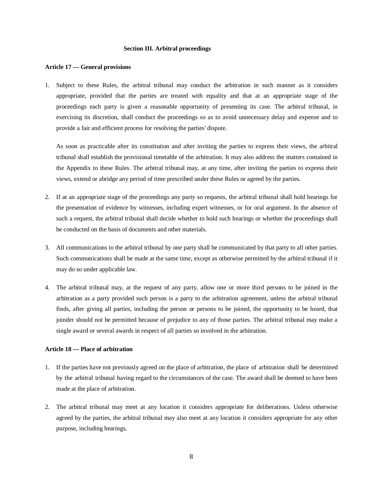#### **Section III. Arbitral proceedings**

#### **Article 17 — General provisions**

1. Subject to these Rules, the arbitral tribunal may conduct the arbitration in such manner as it considers appropriate, provided that the parties are treated with equality and that at an appropriate stage of the proceedings each party is given a reasonable opportunity of presenting its case. The arbitral tribunal, in exercising its discretion, shall conduct the proceedings so as to avoid unnecessary delay and expense and to provide a fair and efficient process for resolving the parties' dispute.

As soon as practicable after its constitution and after inviting the parties to express their views, the arbitral tribunal shall establish the provisional timetable of the arbitration. It may also address the matters contained in the Appendix to these Rules. The arbitral tribunal may, at any time, after inviting the parties to express their views, extend or abridge any period of time prescribed under these Rules or agreed by the parties.

- 2. If at an appropriate stage of the proceedings any party so requests, the arbitral tribunal shall hold hearings for the presentation of evidence by witnesses, including expert witnesses, or for oral argument. In the absence of such a request, the arbitral tribunal shall decide whether to hold such hearings or whether the proceedings shall be conducted on the basis of documents and other materials.
- 3. All communications to the arbitral tribunal by one party shall be communicated by that party to all other parties. Such communications shall be made at the same time, except as otherwise permitted by the arbitral tribunal if it may do so under applicable law.
- 4. The arbitral tribunal may, at the request of any party, allow one or more third persons to be joined in the arbitration as a party provided such person is a party to the arbitration agreement, unless the arbitral tribunal finds, after giving all parties, including the person or persons to be joined, the opportunity to be heard, that joinder should not be permitted because of prejudice to any of those parties. The arbitral tribunal may make a single award or several awards in respect of all parties so involved in the arbitration.

# **Article 18 — Place of arbitration**

- 1. If the parties have not previously agreed on the place of arbitration, the place of arbitration shall be determined by the arbitral tribunal having regard to the circumstances of the case. The award shall be deemed to have been made at the place of arbitration.
- 2. The arbitral tribunal may meet at any location it considers appropriate for deliberations. Unless otherwise agreed by the parties, the arbitral tribunal may also meet at any location it considers appropriate for any other purpose, including hearings.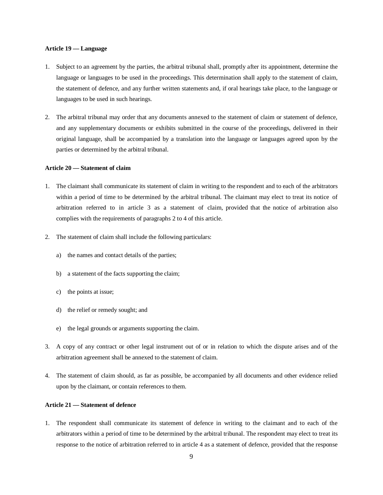#### **Article 19 — Language**

- 1. Subject to an agreement by the parties, the arbitral tribunal shall, promptly after its appointment, determine the language or languages to be used in the proceedings. This determination shall apply to the statement of claim, the statement of defence, and any further written statements and, if oral hearings take place, to the language or languages to be used in such hearings.
- 2. The arbitral tribunal may order that any documents annexed to the statement of claim or statement of defence, and any supplementary documents or exhibits submitted in the course of the proceedings, delivered in their original language, shall be accompanied by a translation into the language or languages agreed upon by the parties or determined by the arbitral tribunal.

#### **Article 20 — Statement of claim**

- 1. The claimant shall communicate its statement of claim in writing to the respondent and to each of the arbitrators within a period of time to be determined by the arbitral tribunal. The claimant may elect to treat its notice of arbitration referred to in article 3 as a statement of claim, provided that the notice of arbitration also complies with the requirements of paragraphs 2 to 4 of this article.
- 2. The statement of claim shall include the following particulars:
	- a) the names and contact details of the parties;
	- b) a statement of the facts supporting the claim;
	- c) the points at issue;
	- d) the relief or remedy sought; and
	- e) the legal grounds or arguments supporting the claim.
- 3. A copy of any contract or other legal instrument out of or in relation to which the dispute arises and of the arbitration agreement shall be annexed to the statement of claim.
- 4. The statement of claim should, as far as possible, be accompanied by all documents and other evidence relied upon by the claimant, or contain references to them.

#### **Article 21 — Statement of defence**

1. The respondent shall communicate its statement of defence in writing to the claimant and to each of the arbitrators within a period of time to be determined by the arbitral tribunal. The respondent may elect to treat its response to the notice of arbitration referred to in article 4 as a statement of defence, provided that the response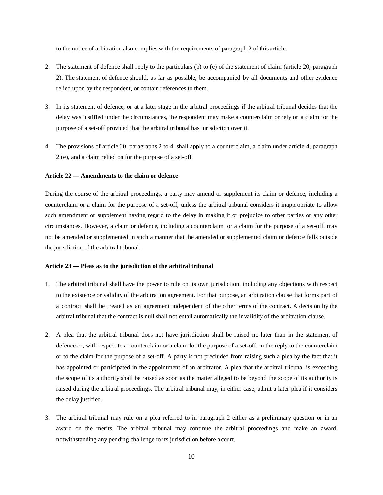to the notice of arbitration also complies with the requirements of paragraph 2 of this article.

- 2. The statement of defence shall reply to the particulars (b) to (e) of the statement of claim (article 20, paragraph 2). The statement of defence should, as far as possible, be accompanied by all documents and other evidence relied upon by the respondent, or contain references to them.
- 3. In its statement of defence, or at a later stage in the arbitral proceedings if the arbitral tribunal decides that the delay was justified under the circumstances, the respondent may make a counterclaim or rely on a claim for the purpose of a set-off provided that the arbitral tribunal has jurisdiction over it.
- 4. The provisions of article 20, paragraphs 2 to 4, shall apply to a counterclaim, a claim under article 4, paragraph 2 (e), and a claim relied on for the purpose of a set-off.

#### **Article 22 — Amendments to the claim or defence**

During the course of the arbitral proceedings, a party may amend or supplement its claim or defence, including a counterclaim or a claim for the purpose of a set-off, unless the arbitral tribunal considers it inappropriate to allow such amendment or supplement having regard to the delay in making it or prejudice to other parties or any other circumstances. However, a claim or defence, including a counterclaim or a claim for the purpose of a set-off, may not be amended or supplemented in such a manner that the amended or supplemented claim or defence falls outside the jurisdiction of the arbitral tribunal.

#### **Article 23 — Pleas as to the jurisdiction of the arbitral tribunal**

- 1. The arbitral tribunal shall have the power to rule on its own jurisdiction, including any objections with respect to the existence or validity of the arbitration agreement. For that purpose, an arbitration clause that forms part of a contract shall be treated as an agreement independent of the other terms of the contract. A decision by the arbitral tribunal that the contract is null shall not entail automatically the invalidity of the arbitration clause.
- 2. A plea that the arbitral tribunal does not have jurisdiction shall be raised no later than in the statement of defence or, with respect to a counterclaim or a claim for the purpose of a set-off, in the reply to the counterclaim or to the claim for the purpose of a set-off. A party is not precluded from raising such a plea by the fact that it has appointed or participated in the appointment of an arbitrator. A plea that the arbitral tribunal is exceeding the scope of its authority shall be raised as soon as the matter alleged to be beyond the scope of its authority is raised during the arbitral proceedings. The arbitral tribunal may, in either case, admit a later plea if it considers the delay justified.
- 3. The arbitral tribunal may rule on a plea referred to in paragraph 2 either as a preliminary question or in an award on the merits. The arbitral tribunal may continue the arbitral proceedings and make an award, notwithstanding any pending challenge to its jurisdiction before a court.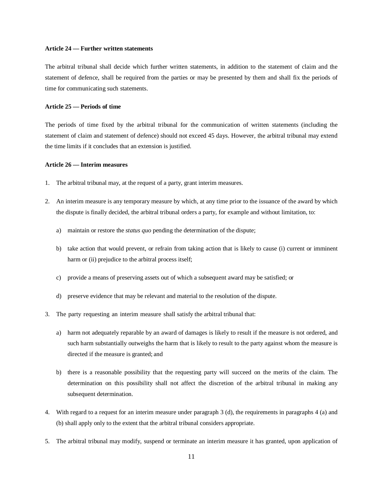# **Article 24 — Further written statements**

The arbitral tribunal shall decide which further written statements, in addition to the statement of claim and the statement of defence, shall be required from the parties or may be presented by them and shall fix the periods of time for communicating such statements.

# **Article 25 — Periods of time**

The periods of time fixed by the arbitral tribunal for the communication of written statements (including the statement of claim and statement of defence) should not exceed 45 days. However, the arbitral tribunal may extend the time limits if it concludes that an extension is justified.

#### **Article 26 — Interim measures**

- 1. The arbitral tribunal may, at the request of a party, grant interim measures.
- 2. An interim measure is any temporary measure by which, at any time prior to the issuance of the award by which the dispute is finally decided, the arbitral tribunal orders a party, for example and without limitation, to:
	- a) maintain or restore the *status quo* pending the determination of the dispute;
	- b) take action that would prevent, or refrain from taking action that is likely to cause (i) current or imminent harm or (ii) prejudice to the arbitral process itself;
	- c) provide a means of preserving assets out of which a subsequent award may be satisfied; or
	- d) preserve evidence that may be relevant and material to the resolution of the dispute.
- 3. The party requesting an interim measure shall satisfy the arbitral tribunal that:
	- a) harm not adequately reparable by an award of damages is likely to result if the measure is not ordered, and such harm substantially outweighs the harm that is likely to result to the party against whom the measure is directed if the measure is granted; and
	- b) there is a reasonable possibility that the requesting party will succeed on the merits of the claim. The determination on this possibility shall not affect the discretion of the arbitral tribunal in making any subsequent determination.
- 4. With regard to a request for an interim measure under paragraph 3 (d), the requirements in paragraphs 4 (a) and (b) shall apply only to the extent that the arbitral tribunal considers appropriate.
- 5. The arbitral tribunal may modify, suspend or terminate an interim measure it has granted, upon application of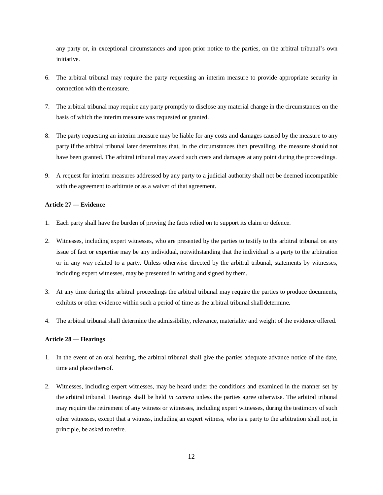any party or, in exceptional circumstances and upon prior notice to the parties, on the arbitral tribunal's own initiative.

- 6. The arbitral tribunal may require the party requesting an interim measure to provide appropriate security in connection with the measure.
- 7. The arbitral tribunal may require any party promptly to disclose any material change in the circumstances on the basis of which the interim measure was requested or granted.
- 8. The party requesting an interim measure may be liable for any costs and damages caused by the measure to any party if the arbitral tribunal later determines that, in the circumstances then prevailing, the measure should not have been granted. The arbitral tribunal may award such costs and damages at any point during the proceedings.
- 9. A request for interim measures addressed by any party to a judicial authority shall not be deemed incompatible with the agreement to arbitrate or as a waiver of that agreement.

# **Article 27 — Evidence**

- 1. Each party shall have the burden of proving the facts relied on to support its claim or defence.
- 2. Witnesses, including expert witnesses, who are presented by the parties to testify to the arbitral tribunal on any issue of fact or expertise may be any individual, notwithstanding that the individual is a party to the arbitration or in any way related to a party. Unless otherwise directed by the arbitral tribunal, statements by witnesses, including expert witnesses, may be presented in writing and signed by them.
- 3. At any time during the arbitral proceedings the arbitral tribunal may require the parties to produce documents, exhibits or other evidence within such a period of time as the arbitral tribunal shall determine.
- 4. The arbitral tribunal shall determine the admissibility, relevance, materiality and weight of the evidence offered.

## **Article 28 — Hearings**

- 1. In the event of an oral hearing, the arbitral tribunal shall give the parties adequate advance notice of the date, time and place thereof.
- 2. Witnesses, including expert witnesses, may be heard under the conditions and examined in the manner set by the arbitral tribunal. Hearings shall be held *in camera* unless the parties agree otherwise. The arbitral tribunal may require the retirement of any witness or witnesses, including expert witnesses, during the testimony of such other witnesses, except that a witness, including an expert witness, who is a party to the arbitration shall not, in principle, be asked to retire.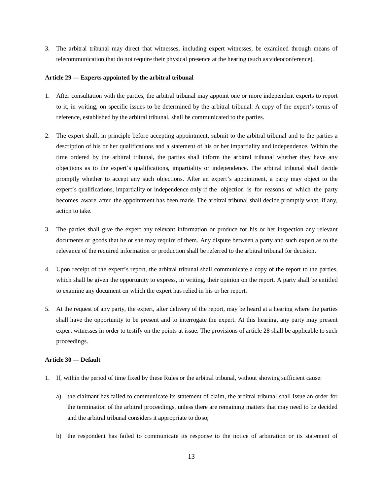3. The arbitral tribunal may direct that witnesses, including expert witnesses, be examined through means of telecommunication that do not require their physical presence at the hearing (such as videoconference).

#### **Article 29 — Experts appointed by the arbitral tribunal**

- 1. After consultation with the parties, the arbitral tribunal may appoint one or more independent experts to report to it, in writing, on specific issues to be determined by the arbitral tribunal. A copy of the expert's terms of reference, established by the arbitral tribunal, shall be communicated to the parties.
- 2. The expert shall, in principle before accepting appointment, submit to the arbitral tribunal and to the parties a description of his or her qualifications and a statement of his or her impartiality and independence. Within the time ordered by the arbitral tribunal, the parties shall inform the arbitral tribunal whether they have any objections as to the expert's qualifications, impartiality or independence. The arbitral tribunal shall decide promptly whether to accept any such objections. After an expert's appointment, a party may object to the expert's qualifications, impartiality or independence only if the objection is for reasons of which the party becomes aware after the appointment has been made. The arbitral tribunal shall decide promptly what, if any, action to take.
- 3. The parties shall give the expert any relevant information or produce for his or her inspection any relevant documents or goods that he or she may require of them. Any dispute between a party and such expert as to the relevance of the required information or production shall be referred to the arbitral tribunal for decision.
- 4. Upon receipt of the expert's report, the arbitral tribunal shall communicate a copy of the report to the parties, which shall be given the opportunity to express, in writing, their opinion on the report. A party shall be entitled to examine any document on which the expert has relied in his or her report.
- 5. At the request of any party, the expert, after delivery of the report, may be heard at a hearing where the parties shall have the opportunity to be present and to interrogate the expert. At this hearing, any party may present expert witnesses in order to testify on the points at issue. The provisions of article 28 shall be applicable to such proceedings.

#### **Article 30 — Default**

- 1. If, within the period of time fixed by these Rules or the arbitral tribunal, without showing sufficient cause:
	- a) the claimant has failed to communicate its statement of claim, the arbitral tribunal shall issue an order for the termination of the arbitral proceedings, unless there are remaining matters that may need to be decided and the arbitral tribunal considers it appropriate to doso;
	- b) the respondent has failed to communicate its response to the notice of arbitration or its statement of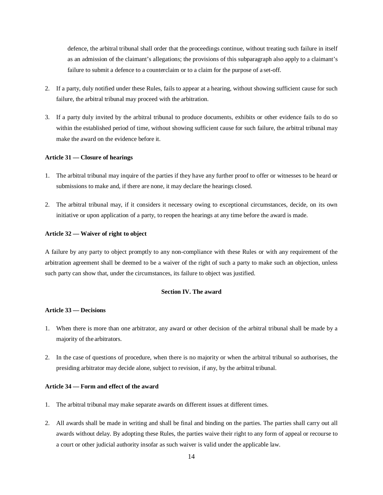defence, the arbitral tribunal shall order that the proceedings continue, without treating such failure in itself as an admission of the claimant's allegations; the provisions of this subparagraph also apply to a claimant's failure to submit a defence to a counterclaim or to a claim for the purpose of a set-off.

- 2. If a party, duly notified under these Rules, fails to appear at a hearing, without showing sufficient cause for such failure, the arbitral tribunal may proceed with the arbitration.
- 3. If a party duly invited by the arbitral tribunal to produce documents, exhibits or other evidence fails to do so within the established period of time, without showing sufficient cause for such failure, the arbitral tribunal may make the award on the evidence before it.

#### **Article 31 — Closure of hearings**

- 1. The arbitral tribunal may inquire of the parties if they have any further proof to offer or witnesses to be heard or submissions to make and, if there are none, it may declare the hearings closed.
- 2. The arbitral tribunal may, if it considers it necessary owing to exceptional circumstances, decide, on its own initiative or upon application of a party, to reopen the hearings at any time before the award is made.

#### **Article 32 — Waiver of right to object**

A failure by any party to object promptly to any non-compliance with these Rules or with any requirement of the arbitration agreement shall be deemed to be a waiver of the right of such a party to make such an objection, unless such party can show that, under the circumstances, its failure to object was justified.

# **Section IV. The award**

#### **Article 33 — Decisions**

- 1. When there is more than one arbitrator, any award or other decision of the arbitral tribunal shall be made by a majority of the arbitrators.
- 2. In the case of questions of procedure, when there is no majority or when the arbitral tribunal so authorises, the presiding arbitrator may decide alone, subject to revision, if any, by the arbitral tribunal.

# **Article 34 — Form and effect of the award**

- 1. The arbitral tribunal may make separate awards on different issues at different times.
- 2. All awards shall be made in writing and shall be final and binding on the parties. The parties shall carry out all awards without delay. By adopting these Rules, the parties waive their right to any form of appeal or recourse to a court or other judicial authority insofar as such waiver is valid under the applicable law.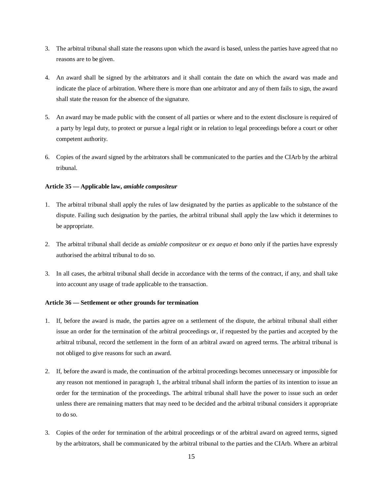- 3. The arbitral tribunal shall state the reasons upon which the award is based, unless the parties have agreed that no reasons are to be given.
- 4. An award shall be signed by the arbitrators and it shall contain the date on which the award was made and indicate the place of arbitration. Where there is more than one arbitrator and any of them fails to sign, the award shall state the reason for the absence of the signature.
- 5. An award may be made public with the consent of all parties or where and to the extent disclosure is required of a party by legal duty, to protect or pursue a legal right or in relation to legal proceedings before a court or other competent authority.
- 6. Copies of the award signed by the arbitrators shall be communicated to the parties and the CIArb by the arbitral tribunal.

#### **Article 35 — Applicable law,** *amiable compositeur*

- 1. The arbitral tribunal shall apply the rules of law designated by the parties as applicable to the substance of the dispute. Failing such designation by the parties, the arbitral tribunal shall apply the law which it determines to be appropriate.
- 2. The arbitral tribunal shall decide as *amiable compositeur* or *ex aequo et bono* only if the parties have expressly authorised the arbitral tribunal to do so.
- 3. In all cases, the arbitral tribunal shall decide in accordance with the terms of the contract, if any, and shall take into account any usage of trade applicable to the transaction.

# **Article 36 — Settlement or other grounds for termination**

- 1. If, before the award is made, the parties agree on a settlement of the dispute, the arbitral tribunal shall either issue an order for the termination of the arbitral proceedings or, if requested by the parties and accepted by the arbitral tribunal, record the settlement in the form of an arbitral award on agreed terms. The arbitral tribunal is not obliged to give reasons for such an award.
- 2. If, before the award is made, the continuation of the arbitral proceedings becomes unnecessary or impossible for any reason not mentioned in paragraph 1, the arbitral tribunal shall inform the parties of its intention to issue an order for the termination of the proceedings. The arbitral tribunal shall have the power to issue such an order unless there are remaining matters that may need to be decided and the arbitral tribunal considers it appropriate to do so.
- 3. Copies of the order for termination of the arbitral proceedings or of the arbitral award on agreed terms, signed by the arbitrators, shall be communicated by the arbitral tribunal to the parties and the CIArb. Where an arbitral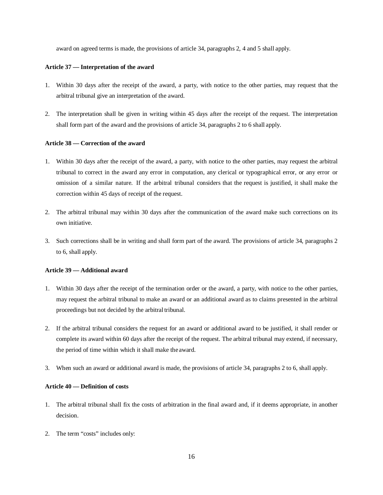award on agreed terms is made, the provisions of article 34, paragraphs 2, 4 and 5 shall apply.

#### **Article 37 — Interpretation of the award**

- 1. Within 30 days after the receipt of the award, a party, with notice to the other parties, may request that the arbitral tribunal give an interpretation of the award.
- 2. The interpretation shall be given in writing within 45 days after the receipt of the request. The interpretation shall form part of the award and the provisions of article 34, paragraphs 2 to 6 shall apply.

#### **Article 38 — Correction of the award**

- 1. Within 30 days after the receipt of the award, a party, with notice to the other parties, may request the arbitral tribunal to correct in the award any error in computation, any clerical or typographical error, or any error or omission of a similar nature. If the arbitral tribunal considers that the request is justified, it shall make the correction within 45 days of receipt of the request.
- 2. The arbitral tribunal may within 30 days after the communication of the award make such corrections on its own initiative.
- 3. Such corrections shall be in writing and shall form part of the award. The provisions of article 34, paragraphs 2 to 6, shall apply.

#### **Article 39 — Additional award**

- 1. Within 30 days after the receipt of the termination order or the award, a party, with notice to the other parties, may request the arbitral tribunal to make an award or an additional award as to claims presented in the arbitral proceedings but not decided by the arbitral tribunal.
- 2. If the arbitral tribunal considers the request for an award or additional award to be justified, it shall render or complete its award within 60 days after the receipt of the request. The arbitral tribunal may extend, if necessary, the period of time within which it shall make the award.
- 3. When such an award or additional award is made, the provisions of article 34, paragraphs 2 to 6, shall apply.

# **Article 40 — Definition of costs**

- 1. The arbitral tribunal shall fix the costs of arbitration in the final award and, if it deems appropriate, in another decision.
- 2. The term "costs" includes only: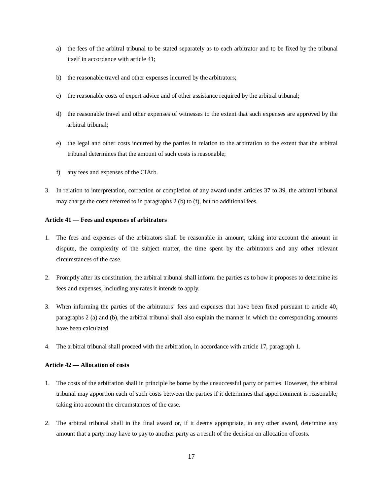- a) the fees of the arbitral tribunal to be stated separately as to each arbitrator and to be fixed by the tribunal itself in accordance with article 41;
- b) the reasonable travel and other expenses incurred by the arbitrators;
- c) the reasonable costs of expert advice and of other assistance required by the arbitral tribunal;
- d) the reasonable travel and other expenses of witnesses to the extent that such expenses are approved by the arbitral tribunal;
- e) the legal and other costs incurred by the parties in relation to the arbitration to the extent that the arbitral tribunal determines that the amount of such costs is reasonable;
- f) any fees and expenses of the CIArb.
- 3. In relation to interpretation, correction or completion of any award under articles 37 to 39, the arbitral tribunal may charge the costs referred to in paragraphs 2 (b) to (f), but no additional fees.

# **Article 41 — Fees and expenses of arbitrators**

- 1. The fees and expenses of the arbitrators shall be reasonable in amount, taking into account the amount in dispute, the complexity of the subject matter, the time spent by the arbitrators and any other relevant circumstances of the case.
- 2. Promptly after its constitution, the arbitral tribunal shall inform the parties as to how it proposes to determine its fees and expenses, including any rates it intends to apply.
- 3. When informing the parties of the arbitrators' fees and expenses that have been fixed pursuant to article 40, paragraphs 2 (a) and (b), the arbitral tribunal shall also explain the manner in which the corresponding amounts have been calculated.
- 4. The arbitral tribunal shall proceed with the arbitration, in accordance with article 17, paragraph 1.

# **Article 42 — Allocation of costs**

- 1. The costs of the arbitration shall in principle be borne by the unsuccessful party or parties. However, the arbitral tribunal may apportion each of such costs between the parties if it determines that apportionment is reasonable, taking into account the circumstances of the case.
- 2. The arbitral tribunal shall in the final award or, if it deems appropriate, in any other award, determine any amount that a party may have to pay to another party as a result of the decision on allocation of costs.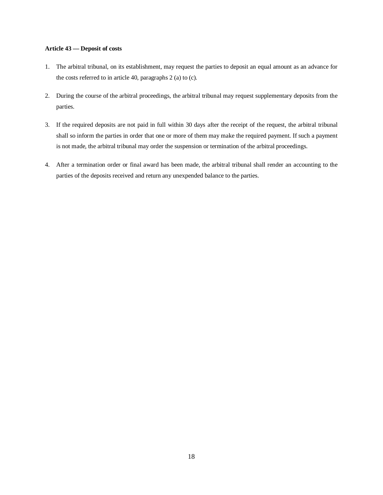# **Article 43 — Deposit of costs**

- 1. The arbitral tribunal, on its establishment, may request the parties to deposit an equal amount as an advance for the costs referred to in article 40, paragraphs 2 (a) to (c).
- 2. During the course of the arbitral proceedings, the arbitral tribunal may request supplementary deposits from the parties.
- 3. If the required deposits are not paid in full within 30 days after the receipt of the request, the arbitral tribunal shall so inform the parties in order that one or more of them may make the required payment. If such a payment is not made, the arbitral tribunal may order the suspension or termination of the arbitral proceedings.
- 4. After a termination order or final award has been made, the arbitral tribunal shall render an accounting to the parties of the deposits received and return any unexpended balance to the parties.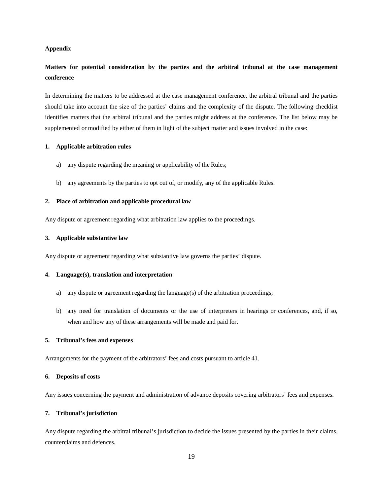#### **Appendix**

# **Matters for potential consideration by the parties and the arbitral tribunal at the case management conference**

In determining the matters to be addressed at the case management conference, the arbitral tribunal and the parties should take into account the size of the parties' claims and the complexity of the dispute. The following checklist identifies matters that the arbitral tribunal and the parties might address at the conference. The list below may be supplemented or modified by either of them in light of the subject matter and issues involved in the case:

#### **1. Applicable arbitration rules**

- a) any dispute regarding the meaning or applicability of the Rules;
- b) any agreements by the parties to opt out of, or modify, any of the applicable Rules.

#### **2. Place of arbitration and applicable procedural law**

Any dispute or agreement regarding what arbitration law applies to the proceedings.

# **3. Applicable substantive law**

Any dispute or agreement regarding what substantive law governs the parties' dispute.

# **4. Language(s), translation and interpretation**

- a) any dispute or agreement regarding the language(s) of the arbitration proceedings;
- b) any need for translation of documents or the use of interpreters in hearings or conferences, and, if so, when and how any of these arrangements will be made and paid for.

# **5. Tribunal's fees and expenses**

Arrangements for the payment of the arbitrators' fees and costs pursuant to article 41.

#### **6. Deposits of costs**

Any issues concerning the payment and administration of advance deposits covering arbitrators' fees and expenses.

# **7. Tribunal's jurisdiction**

Any dispute regarding the arbitral tribunal's jurisdiction to decide the issues presented by the parties in their claims, counterclaims and defences.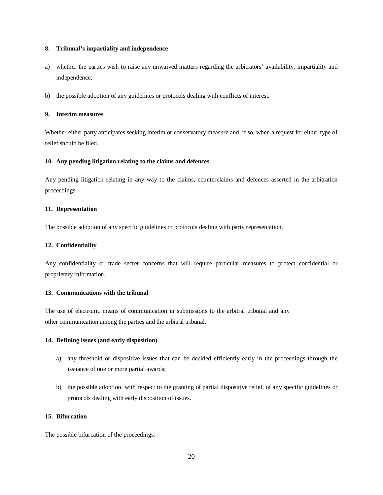# **8. Tribunal's impartiality and independence**

- a) whether the parties wish to raise any unwaived matters regarding the arbitrators' availability, impartiality and independence;
- b) the possible adoption of any guidelines or protocols dealing with conflicts of interest.

# **9. Interim measures**

Whether either party anticipates seeking interim or conservatory measure and, if so, when a request for either type of relief should be filed.

# **10. Any pending litigation relating to the claims and defences**

Any pending litigation relating in any way to the claims, counterclaims and defences asserted in the arbitration proceedings.

#### **11. Representation**

The possible adoption of any specific guidelines or protocols dealing with party representation.

#### **12. Confidentiality**

Any confidentiality or trade secret concerns that will require particular measures to protect confidential or proprietary information.

# **13. Communications with the tribunal**

The use of electronic means of communication in submissions to the arbitral tribunal and any other communication among the parties and the arbitral tribunal.

# **14. Defining issues (and early disposition)**

- a) any threshold or dispositive issues that can be decided efficiently early in the proceedings through the issuance of one or more partial awards;
- b) the possible adoption, with respect to the granting of partial dispositive relief, of any specific guidelines or protocols dealing with early disposition of issues.

# **15. Bifurcation**

The possible bifurcation of the proceedings.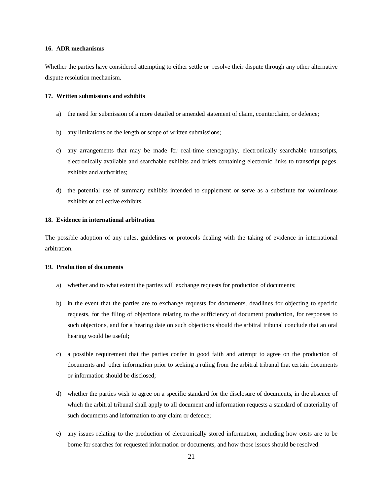# **16. ADR mechanisms**

Whether the parties have considered attempting to either settle or resolve their dispute through any other alternative dispute resolution mechanism.

## **17. Written submissions and exhibits**

- a) the need for submission of a more detailed or amended statement of claim, counterclaim, or defence;
- b) any limitations on the length or scope of written submissions;
- c) any arrangements that may be made for real-time stenography, electronically searchable transcripts, electronically available and searchable exhibits and briefs containing electronic links to transcript pages, exhibits and authorities;
- d) the potential use of summary exhibits intended to supplement or serve as a substitute for voluminous exhibits or collective exhibits.

# **18. Evidence in international arbitration**

The possible adoption of any rules, guidelines or protocols dealing with the taking of evidence in international arbitration.

# **19. Production of documents**

- a) whether and to what extent the parties will exchange requests for production of documents;
- b) in the event that the parties are to exchange requests for documents, deadlines for objecting to specific requests, for the filing of objections relating to the sufficiency of document production, for responses to such objections, and for a hearing date on such objections should the arbitral tribunal conclude that an oral hearing would be useful;
- c) a possible requirement that the parties confer in good faith and attempt to agree on the production of documents and other information prior to seeking a ruling from the arbitral tribunal that certain documents or information should be disclosed;
- d) whether the parties wish to agree on a specific standard for the disclosure of documents, in the absence of which the arbitral tribunal shall apply to all document and information requests a standard of materiality of such documents and information to any claim or defence;
- e) any issues relating to the production of electronically stored information, including how costs are to be borne for searches for requested information or documents, and how those issues should be resolved.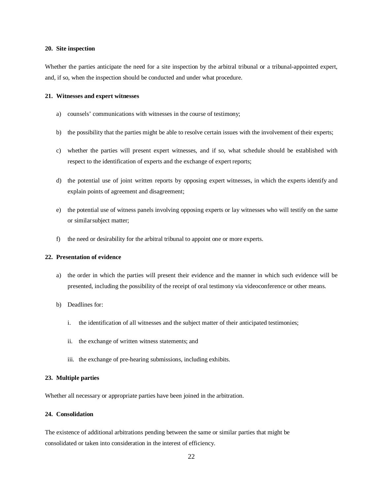#### **20. Site inspection**

Whether the parties anticipate the need for a site inspection by the arbitral tribunal or a tribunal-appointed expert, and, if so, when the inspection should be conducted and under what procedure.

## **21. Witnesses and expert witnesses**

- a) counsels' communications with witnesses in the course of testimony;
- b) the possibility that the parties might be able to resolve certain issues with the involvement of their experts;
- c) whether the parties will present expert witnesses, and if so, what schedule should be established with respect to the identification of experts and the exchange of expert reports;
- d) the potential use of joint written reports by opposing expert witnesses, in which the experts identify and explain points of agreement and disagreement;
- e) the potential use of witness panels involving opposing experts or lay witnesses who will testify on the same or similar subject matter;
- f) the need or desirability for the arbitral tribunal to appoint one or more experts.

# **22. Presentation of evidence**

- a) the order in which the parties will present their evidence and the manner in which such evidence will be presented, including the possibility of the receipt of oral testimony via videoconference or other means.
- b) Deadlines for:
	- i. the identification of all witnesses and the subject matter of their anticipated testimonies;
	- ii. the exchange of written witness statements; and
	- iii. the exchange of pre-hearing submissions, including exhibits.

## **23. Multiple parties**

Whether all necessary or appropriate parties have been joined in the arbitration.

#### **24. Consolidation**

The existence of additional arbitrations pending between the same or similar parties that might be consolidated or taken into consideration in the interest of efficiency.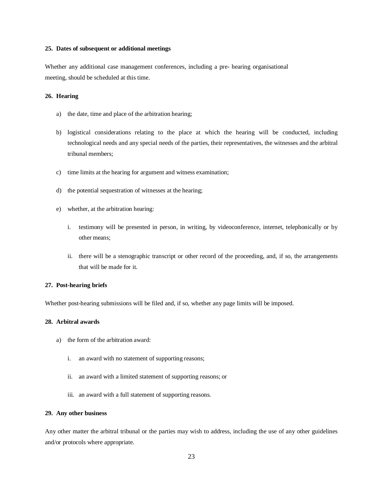# **25. Dates of subsequent or additional meetings**

Whether any additional case management conferences, including a pre- hearing organisational meeting, should be scheduled at this time.

# **26. Hearing**

- a) the date, time and place of the arbitration hearing;
- b) logistical considerations relating to the place at which the hearing will be conducted, including technological needs and any special needs of the parties, their representatives, the witnesses and the arbitral tribunal members;
- c) time limits at the hearing for argument and witness examination;
- d) the potential sequestration of witnesses at the hearing;
- e) whether, at the arbitration hearing:
	- i. testimony will be presented in person, in writing, by videoconference, internet, telephonically or by other means;
	- ii. there will be a stenographic transcript or other record of the proceeding, and, if so, the arrangements that will be made for it.

## **27. Post-hearing briefs**

Whether post-hearing submissions will be filed and, if so, whether any page limits will be imposed.

#### **28. Arbitral awards**

- a) the form of the arbitration award:
	- i. an award with no statement of supporting reasons;
	- ii. an award with a limited statement of supporting reasons; or
	- iii. an award with a full statement of supporting reasons.

# **29. Any other business**

Any other matter the arbitral tribunal or the parties may wish to address, including the use of any other guidelines and/or protocols where appropriate.